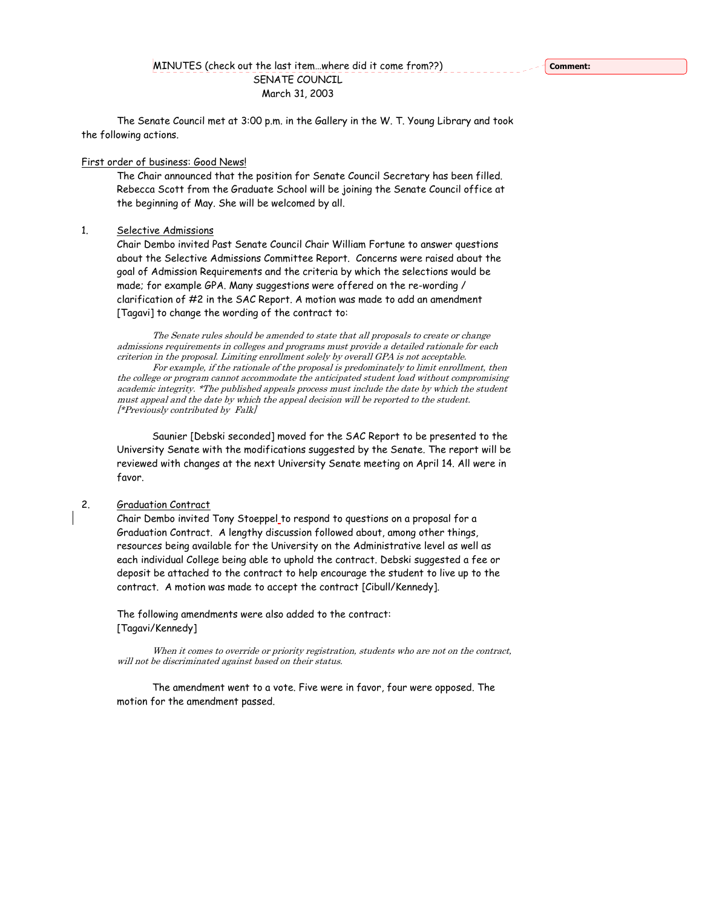## MINUTES (check out the last item…where did it come from??) SENATE COUNCIL March 31, 2003

 The Senate Council met at 3:00 p.m. in the Gallery in the W. T. Young Library and took the following actions.

#### First order of business: Good News!

The Chair announced that the position for Senate Council Secretary has been filled. Rebecca Scott from the Graduate School will be joining the Senate Council office at the beginning of May. She will be welcomed by all.

### 1. Selective Admissions

Chair Dembo invited Past Senate Council Chair William Fortune to answer questions about the Selective Admissions Committee Report. Concerns were raised about the goal of Admission Requirements and the criteria by which the selections would be made; for example GPA. Many suggestions were offered on the re-wording / clarification of #2 in the SAC Report. A motion was made to add an amendment [Tagavi] to change the wording of the contract to:

The Senate rules should be amended to state that all proposals to create or change admissions requirements in colleges and programs must provide a detailed rationale for each criterion in the proposal. Limiting enrollment solely by overall GPA is not acceptable.

For example, if the rationale of the proposal is predominately to limit enrollment, then the college or program cannot accommodate the anticipated student load without compromising academic integrity. \*The published appeals process must include the date by which the student must appeal and the date by which the appeal decision will be reported to the student. [\*Previously contributed by Falk]

Saunier [Debski seconded] moved for the SAC Report to be presented to the University Senate with the modifications suggested by the Senate. The report will be reviewed with changes at the next University Senate meeting on April 14. All were in favor.

#### 2. Graduation Contract

Chair Dembo invited Tony Stoeppel to respond to questions on a proposal for a Graduation Contract. A lengthy discussion followed about, among other things, resources being available for the University on the Administrative level as well as each individual College being able to uphold the contract. Debski suggested a fee or deposit be attached to the contract to help encourage the student to live up to the contract. A motion was made to accept the contract [Cibull/Kennedy].

The following amendments were also added to the contract: [Tagavi/Kennedy]

When it comes to override or priority registration, students who are not on the contract, will not be discriminated against based on their status.

The amendment went to a vote. Five were in favor, four were opposed. The motion for the amendment passed.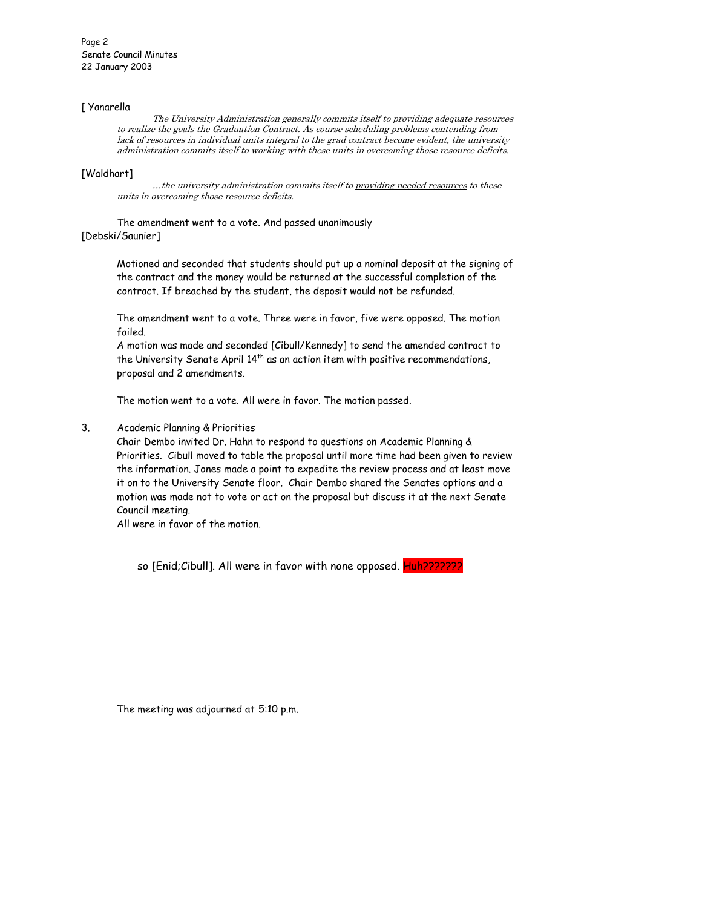#### [ Yanarella

The University Administration generally commits itself to providing adequate resources to realize the goals the Graduation Contract. As course scheduling problems contending from lack of resources in individual units integral to the grad contract become evident, the university administration commits itself to working with these units in overcoming those resource deficits.

#### [Waldhart]

…the university administration commits itself to providing needed resources to these units in overcoming those resource deficits.

The amendment went to a vote. And passed unanimously

# [Debski/Saunier]

Motioned and seconded that students should put up a nominal deposit at the signing of the contract and the money would be returned at the successful completion of the contract. If breached by the student, the deposit would not be refunded.

The amendment went to a vote. Three were in favor, five were opposed. The motion failed.

A motion was made and seconded [Cibull/Kennedy] to send the amended contract to the University Senate April 14<sup>th</sup> as an action item with positive recommendations, proposal and 2 amendments.

The motion went to a vote. All were in favor. The motion passed.

## 3. Academic Planning & Priorities

Chair Dembo invited Dr. Hahn to respond to questions on Academic Planning & Priorities. Cibull moved to table the proposal until more time had been given to review the information. Jones made a point to expedite the review process and at least move it on to the University Senate floor. Chair Dembo shared the Senates options and a motion was made not to vote or act on the proposal but discuss it at the next Senate Council meeting.

All were in favor of the motion.

so [Enid;Cibull]. All were in favor with none opposed. Huh???????

The meeting was adjourned at 5:10 p.m.